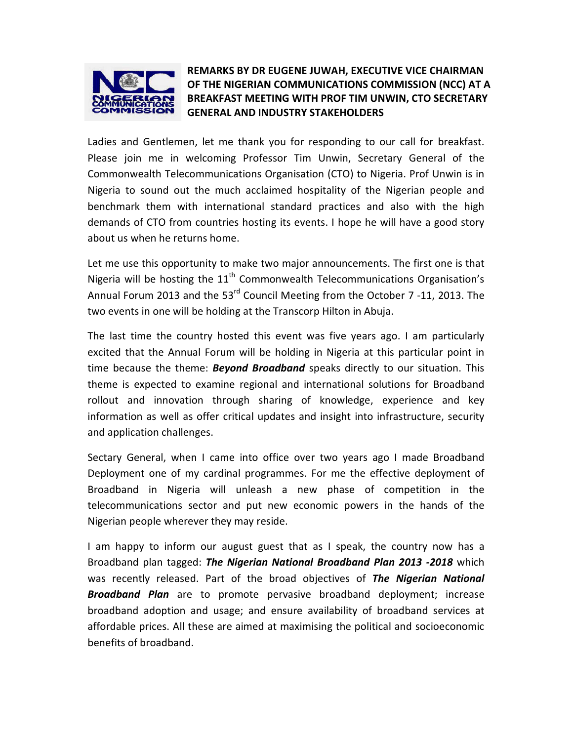

## REMARKS BY DR EUGENE JUWAH, EXECUTIVE VICE CHAIRMAN OF THE NIGERIAN COMMUNICATIONS COMMISSION (NCC) AT A BREAKFAST MEETING WITH PROF TIM UNWIN, CTO SECRETARY GENERAL AND INDUSTRY STAKEHOLDERS

Ladies and Gentlemen, let me thank you for responding to our call for breakfast. Please join me in welcoming Professor Tim Unwin, Secretary General of the Commonwealth Telecommunications Organisation (CTO) to Nigeria. Prof Unwin is in Nigeria to sound out the much acclaimed hospitality of the Nigerian people and benchmark them with international standard practices and also with the high demands of CTO from countries hosting its events. I hope he will have a good story about us when he returns home.

Let me use this opportunity to make two major announcements. The first one is that Nigeria will be hosting the  $11<sup>th</sup>$  Commonwealth Telecommunications Organisation's Annual Forum 2013 and the 53<sup>rd</sup> Council Meeting from the October 7 -11, 2013. The two events in one will be holding at the Transcorp Hilton in Abuja.

The last time the country hosted this event was five years ago. I am particularly excited that the Annual Forum will be holding in Nigeria at this particular point in time because the theme: **Beyond Broadband** speaks directly to our situation. This theme is expected to examine regional and international solutions for Broadband rollout and innovation through sharing of knowledge, experience and key information as well as offer critical updates and insight into infrastructure, security and application challenges.

Sectary General, when I came into office over two years ago I made Broadband Deployment one of my cardinal programmes. For me the effective deployment of Broadband in Nigeria will unleash a new phase of competition in the telecommunications sector and put new economic powers in the hands of the Nigerian people wherever they may reside.

I am happy to inform our august guest that as I speak, the country now has a Broadband plan tagged: The Nigerian National Broadband Plan 2013 -2018 which was recently released. Part of the broad objectives of The Nigerian National **Broadband Plan** are to promote pervasive broadband deployment; increase broadband adoption and usage; and ensure availability of broadband services at affordable prices. All these are aimed at maximising the political and socioeconomic benefits of broadband.